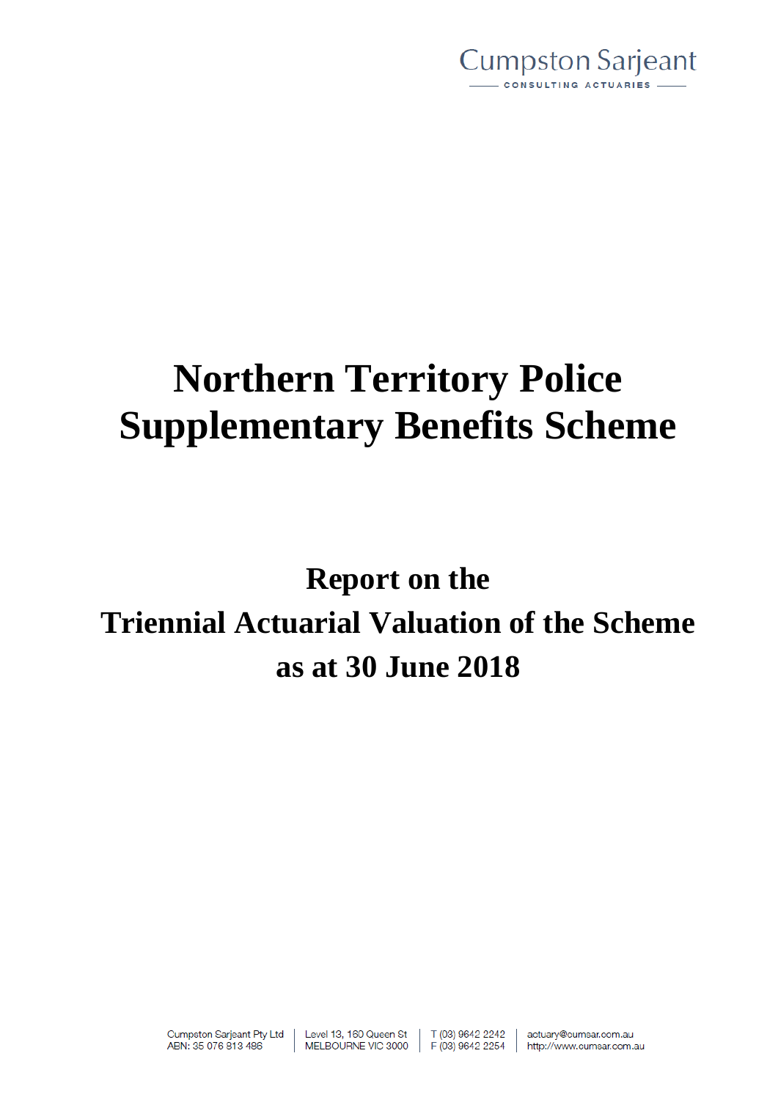

# **Northern Territory Police Supplementary Benefits Scheme**

# **Report on the Triennial Actuarial Valuation of the Scheme as at 30 June 2018**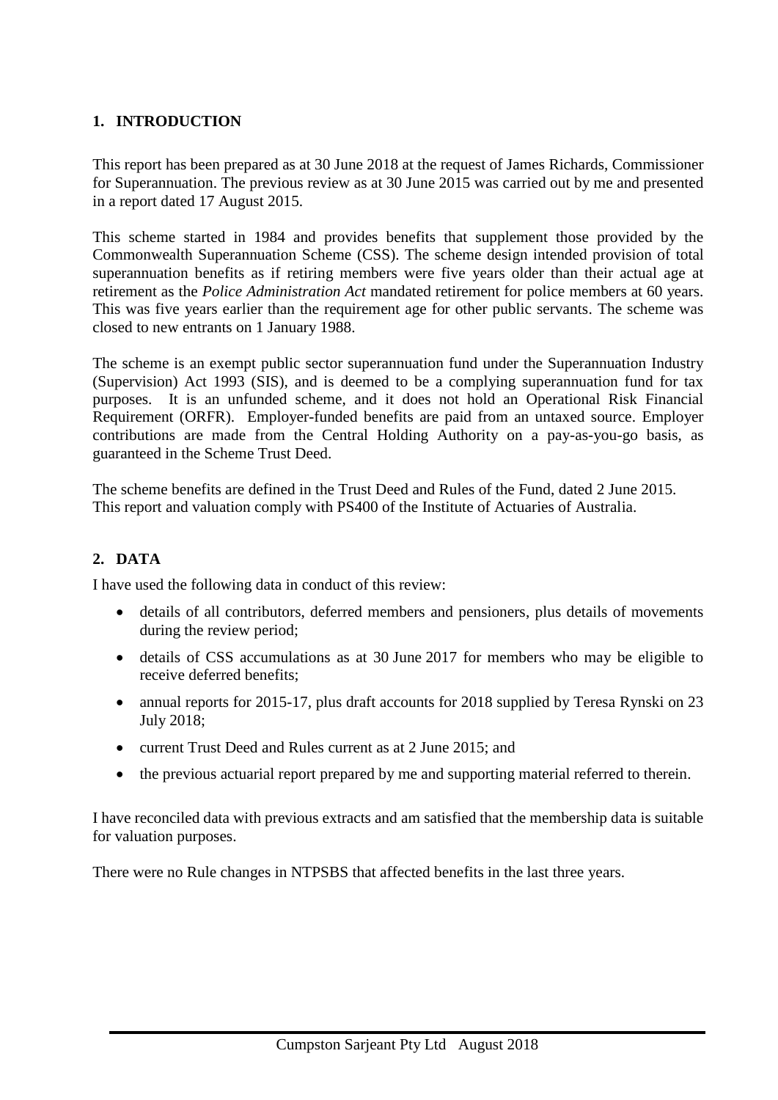### **1. INTRODUCTION**

This report has been prepared as at 30 June 2018 at the request of James Richards, Commissioner for Superannuation. The previous review as at 30 June 2015 was carried out by me and presented in a report dated 17 August 2015.

This scheme started in 1984 and provides benefits that supplement those provided by the Commonwealth Superannuation Scheme (CSS). The scheme design intended provision of total superannuation benefits as if retiring members were five years older than their actual age at retirement as the *Police Administration Act* mandated retirement for police members at 60 years. This was five years earlier than the requirement age for other public servants. The scheme was closed to new entrants on 1 January 1988.

The scheme is an exempt public sector superannuation fund under the Superannuation Industry (Supervision) Act 1993 (SIS), and is deemed to be a complying superannuation fund for tax purposes. It is an unfunded scheme, and it does not hold an Operational Risk Financial Requirement (ORFR). Employer-funded benefits are paid from an untaxed source. Employer contributions are made from the Central Holding Authority on a pay-as-you-go basis, as guaranteed in the Scheme Trust Deed.

The scheme benefits are defined in the Trust Deed and Rules of the Fund, dated 2 June 2015. This report and valuation comply with PS400 of the Institute of Actuaries of Australia.

### **2. DATA**

I have used the following data in conduct of this review:

- details of all contributors, deferred members and pensioners, plus details of movements during the review period;
- details of CSS accumulations as at 30 June 2017 for members who may be eligible to receive deferred benefits;
- annual reports for 2015-17, plus draft accounts for 2018 supplied by Teresa Rynski on 23 July 2018;
- current Trust Deed and Rules current as at 2 June 2015; and
- the previous actuarial report prepared by me and supporting material referred to therein.

I have reconciled data with previous extracts and am satisfied that the membership data is suitable for valuation purposes.

There were no Rule changes in NTPSBS that affected benefits in the last three years.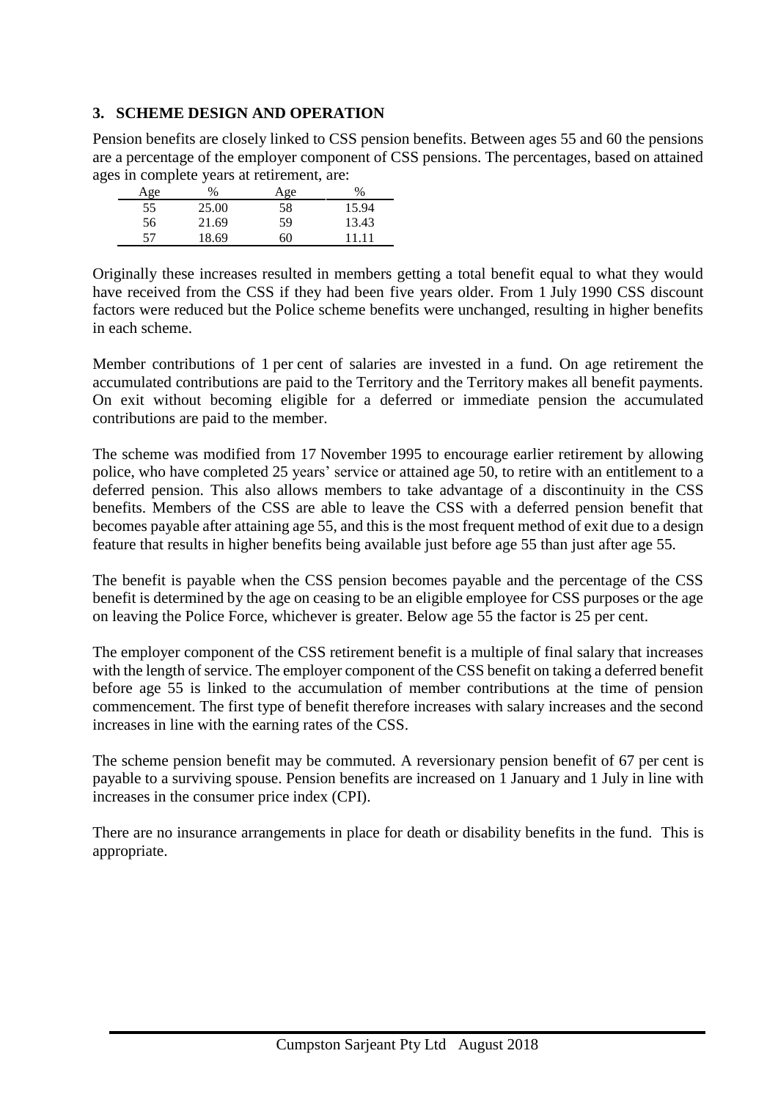# **3. SCHEME DESIGN AND OPERATION**

Pension benefits are closely linked to CSS pension benefits. Between ages 55 and 60 the pensions are a percentage of the employer component of CSS pensions. The percentages, based on attained ages in complete years at retirement, are:

| Age | $\%$  | Age | $\%$  |
|-----|-------|-----|-------|
| 55  | 25.00 | 58  | 15.94 |
| 56  | 21.69 | 59  | 13.43 |
| 57  | 18.69 | 60  | 11 11 |

Originally these increases resulted in members getting a total benefit equal to what they would have received from the CSS if they had been five years older. From 1 July 1990 CSS discount factors were reduced but the Police scheme benefits were unchanged, resulting in higher benefits in each scheme.

Member contributions of 1 per cent of salaries are invested in a fund. On age retirement the accumulated contributions are paid to the Territory and the Territory makes all benefit payments. On exit without becoming eligible for a deferred or immediate pension the accumulated contributions are paid to the member.

The scheme was modified from 17 November 1995 to encourage earlier retirement by allowing police, who have completed 25 years' service or attained age 50, to retire with an entitlement to a deferred pension. This also allows members to take advantage of a discontinuity in the CSS benefits. Members of the CSS are able to leave the CSS with a deferred pension benefit that becomes payable after attaining age 55, and this is the most frequent method of exit due to a design feature that results in higher benefits being available just before age 55 than just after age 55.

The benefit is payable when the CSS pension becomes payable and the percentage of the CSS benefit is determined by the age on ceasing to be an eligible employee for CSS purposes or the age on leaving the Police Force, whichever is greater. Below age 55 the factor is 25 per cent.

The employer component of the CSS retirement benefit is a multiple of final salary that increases with the length of service. The employer component of the CSS benefit on taking a deferred benefit before age 55 is linked to the accumulation of member contributions at the time of pension commencement. The first type of benefit therefore increases with salary increases and the second increases in line with the earning rates of the CSS.

The scheme pension benefit may be commuted. A reversionary pension benefit of 67 per cent is payable to a surviving spouse. Pension benefits are increased on 1 January and 1 July in line with increases in the consumer price index (CPI).

There are no insurance arrangements in place for death or disability benefits in the fund. This is appropriate.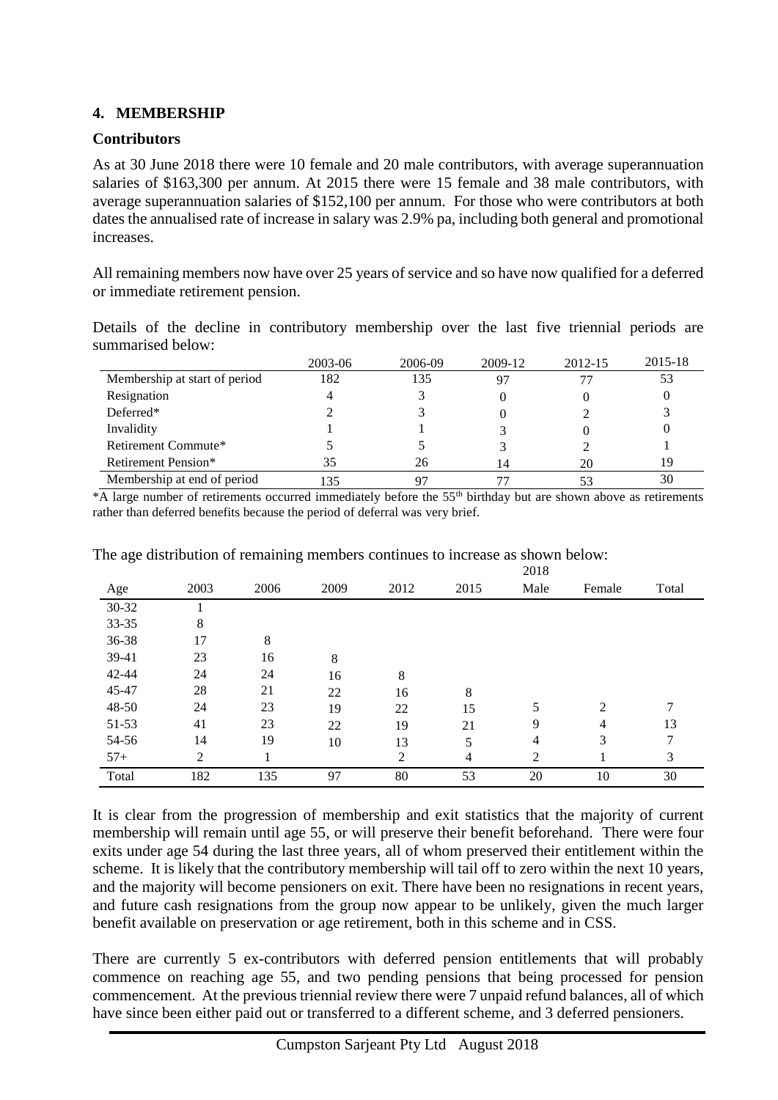# **4. MEMBERSHIP**

# **Contributors**

As at 30 June 2018 there were 10 female and 20 male contributors, with average superannuation salaries of \$163,300 per annum. At 2015 there were 15 female and 38 male contributors, with average superannuation salaries of \$152,100 per annum. For those who were contributors at both dates the annualised rate of increase in salary was 2.9% pa, including both general and promotional increases.

All remaining members now have over 25 years of service and so have now qualified for a deferred or immediate retirement pension.

Details of the decline in contributory membership over the last five triennial periods are summarised below:

|                               | 2003-06 | 2006-09 | 2009-12        | 2012-15 | 2015-18 |
|-------------------------------|---------|---------|----------------|---------|---------|
| Membership at start of period | 182     | 135     | 97             | 77      | 53      |
| Resignation                   |         |         |                |         |         |
| Deferred*                     |         |         |                |         |         |
| Invalidity                    |         |         |                |         |         |
| Retirement Commute*           |         |         |                |         |         |
| Retirement Pension*           | 35      | 26      | $\overline{4}$ | 20      | 19      |
| Membership at end of period   | 135     |         |                | 53      | 30      |

\*A large number of retirements occurred immediately before the 55th birthday but are shown above as retirements rather than deferred benefits because the period of deferral was very brief.

2018

| Age       | 2003           | 2006 | 2009 | 2012 | 2015 | Male | Female | Total |
|-----------|----------------|------|------|------|------|------|--------|-------|
| 30-32     |                |      |      |      |      |      |        |       |
| $33 - 35$ | 8              |      |      |      |      |      |        |       |
| 36-38     | 17             | 8    |      |      |      |      |        |       |
| 39-41     | 23             | 16   | 8    |      |      |      |        |       |
| 42-44     | 24             | 24   | 16   | 8    |      |      |        |       |
| 45-47     | 28             | 21   | 22   | 16   | 8    |      |        |       |
| 48-50     | 24             | 23   | 19   | 22   | 15   | 5    | 2      | 7     |
| 51-53     | 41             | 23   | 22   | 19   | 21   | 9    | 4      | 13    |
| 54-56     | 14             | 19   | 10   | 13   | 5    | 4    | 3      | 7     |
| $57+$     | $\overline{2}$ |      |      | 2    | 4    | 2    |        | 3     |
| Total     | 182            | 135  | 97   | 80   | 53   | 20   | 10     | 30    |

The age distribution of remaining members continues to increase as shown below:

It is clear from the progression of membership and exit statistics that the majority of current membership will remain until age 55, or will preserve their benefit beforehand. There were four exits under age 54 during the last three years, all of whom preserved their entitlement within the scheme. It is likely that the contributory membership will tail off to zero within the next 10 years, and the majority will become pensioners on exit. There have been no resignations in recent years, and future cash resignations from the group now appear to be unlikely, given the much larger benefit available on preservation or age retirement, both in this scheme and in CSS.

There are currently 5 ex-contributors with deferred pension entitlements that will probably commence on reaching age 55, and two pending pensions that being processed for pension commencement. At the previous triennial review there were 7 unpaid refund balances, all of which have since been either paid out or transferred to a different scheme, and 3 deferred pensioners.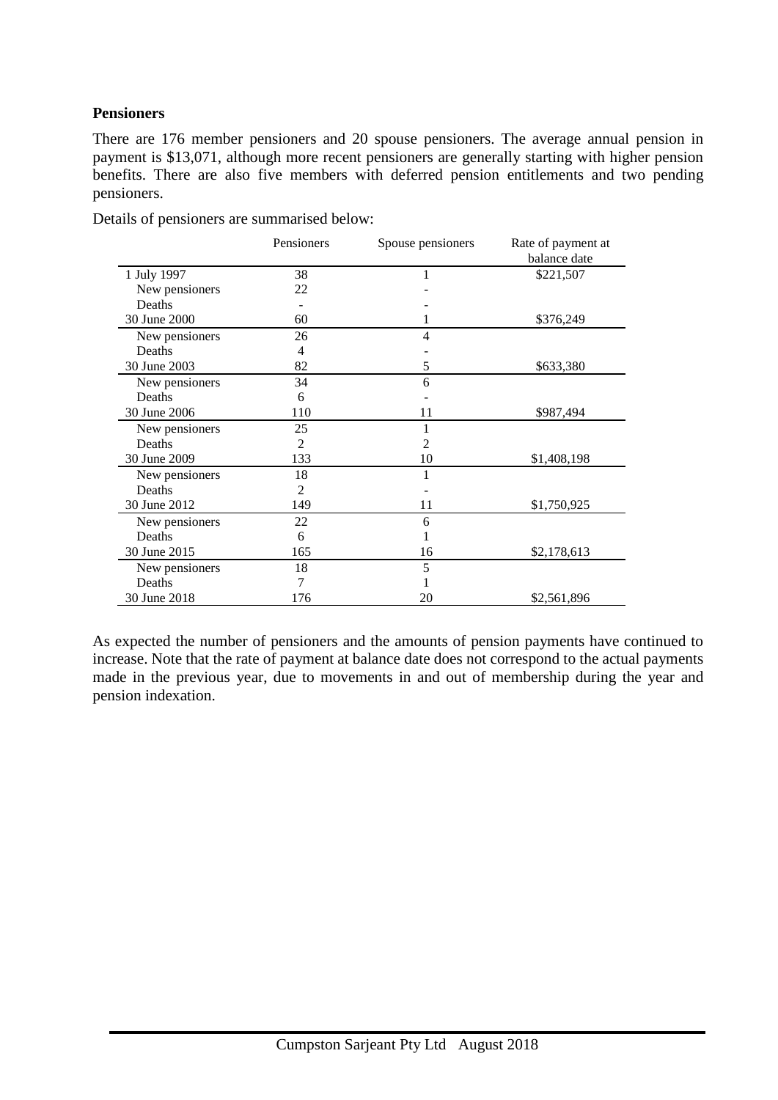# **Pensioners**

There are 176 member pensioners and 20 spouse pensioners. The average annual pension in payment is \$13,071, although more recent pensioners are generally starting with higher pension benefits. There are also five members with deferred pension entitlements and two pending pensioners.

|                | Pensioners | Spouse pensioners | Rate of payment at |
|----------------|------------|-------------------|--------------------|
|                |            |                   | balance date       |
| 1 July 1997    | 38         |                   | \$221,507          |
| New pensioners | 22         |                   |                    |
| Deaths         |            |                   |                    |
| 30 June 2000   | 60         |                   | \$376,249          |
| New pensioners | 26         | 4                 |                    |
| Deaths         | 4          |                   |                    |
| 30 June 2003   | 82         | 5                 | \$633,380          |
| New pensioners | 34         | 6                 |                    |
| Deaths         | 6          |                   |                    |
| 30 June 2006   | 110        | 11                | \$987,494          |
| New pensioners | 25         |                   |                    |
| Deaths         | 2          | 2                 |                    |
| 30 June 2009   | 133        | 10                | \$1,408,198        |
| New pensioners | 18         |                   |                    |
| Deaths         | 2          |                   |                    |
| 30 June 2012   | 149        | 11                | \$1,750,925        |
| New pensioners | 22         | 6                 |                    |
| Deaths         | 6          |                   |                    |
| 30 June 2015   | 165        | 16                | \$2,178,613        |
| New pensioners | 18         | 5                 |                    |
| Deaths         | $\tau$     |                   |                    |
| 30 June 2018   | 176        | 20                | \$2,561,896        |

Details of pensioners are summarised below:

As expected the number of pensioners and the amounts of pension payments have continued to increase. Note that the rate of payment at balance date does not correspond to the actual payments made in the previous year, due to movements in and out of membership during the year and pension indexation.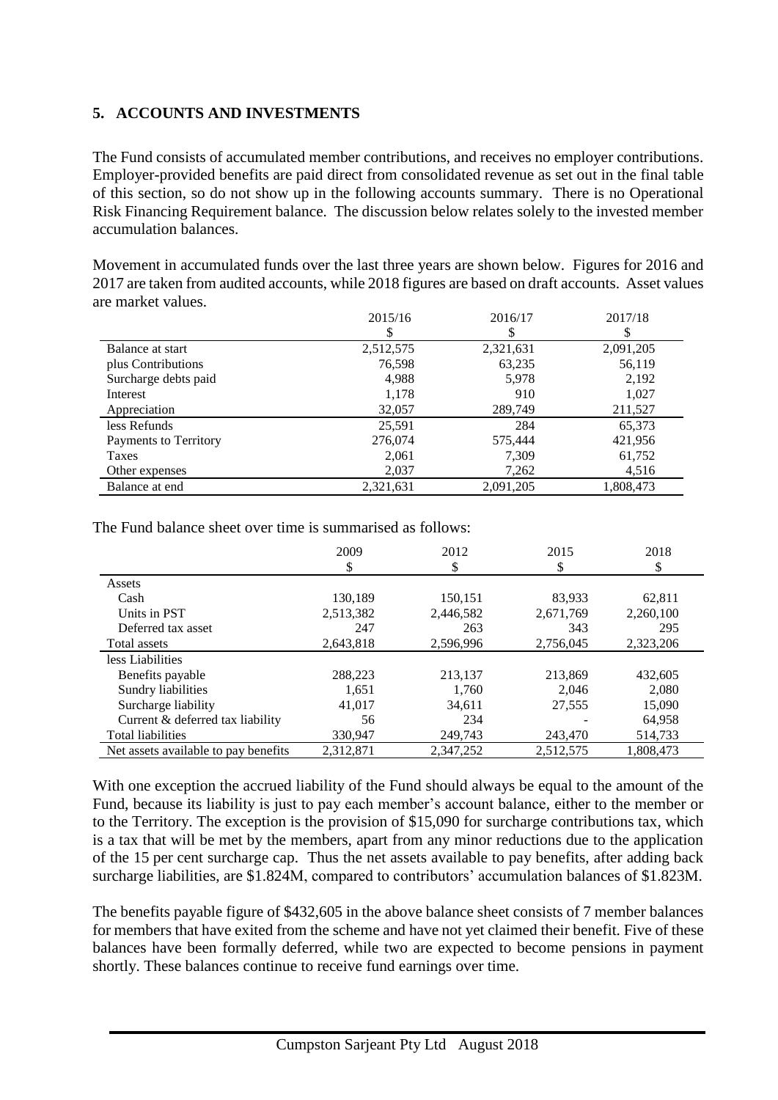# **5. ACCOUNTS AND INVESTMENTS**

The Fund consists of accumulated member contributions, and receives no employer contributions. Employer-provided benefits are paid direct from consolidated revenue as set out in the final table of this section, so do not show up in the following accounts summary. There is no Operational Risk Financing Requirement balance. The discussion below relates solely to the invested member accumulation balances.

Movement in accumulated funds over the last three years are shown below. Figures for 2016 and 2017 are taken from audited accounts, while 2018 figures are based on draft accounts. Asset values are market values.

|                       | 2015/16   | 2016/17   | 2017/18   |
|-----------------------|-----------|-----------|-----------|
|                       |           |           |           |
| Balance at start      | 2,512,575 | 2,321,631 | 2,091,205 |
| plus Contributions    | 76,598    | 63,235    | 56,119    |
| Surcharge debts paid  | 4,988     | 5,978     | 2,192     |
| Interest              | 1,178     | 910       | 1,027     |
| Appreciation          | 32,057    | 289,749   | 211,527   |
| less Refunds          | 25,591    | 284       | 65,373    |
| Payments to Territory | 276,074   | 575,444   | 421,956   |
| Taxes                 | 2,061     | 7,309     | 61,752    |
| Other expenses        | 2,037     | 7,262     | 4,516     |
| Balance at end        | 2,321,631 | 2,091,205 | 1,808,473 |

The Fund balance sheet over time is summarised as follows:

|                                      | 2009      | 2012      | 2015      | 2018      |
|--------------------------------------|-----------|-----------|-----------|-----------|
|                                      | \$        | \$        |           | \$        |
| Assets                               |           |           |           |           |
| Cash                                 | 130,189   | 150,151   | 83,933    | 62,811    |
| Units in PST                         | 2,513,382 | 2,446,582 | 2,671,769 | 2,260,100 |
| Deferred tax asset                   | 247       | 263       | 343       | 295       |
| Total assets                         | 2,643,818 | 2,596,996 | 2,756,045 | 2,323,206 |
| less Liabilities                     |           |           |           |           |
| Benefits payable                     | 288,223   | 213,137   | 213,869   | 432,605   |
| Sundry liabilities                   | 1,651     | 1.760     | 2.046     | 2,080     |
| Surcharge liability                  | 41,017    | 34,611    | 27,555    | 15,090    |
| Current & deferred tax liability     | 56        | 234       |           | 64,958    |
| <b>Total liabilities</b>             | 330,947   | 249,743   | 243,470   | 514,733   |
| Net assets available to pay benefits | 2,312,871 | 2,347,252 | 2,512,575 | 1.808.473 |

With one exception the accrued liability of the Fund should always be equal to the amount of the Fund, because its liability is just to pay each member's account balance, either to the member or to the Territory. The exception is the provision of \$15,090 for surcharge contributions tax, which is a tax that will be met by the members, apart from any minor reductions due to the application of the 15 per cent surcharge cap. Thus the net assets available to pay benefits, after adding back surcharge liabilities, are \$1.824M, compared to contributors' accumulation balances of \$1.823M.

The benefits payable figure of \$432,605 in the above balance sheet consists of 7 member balances for members that have exited from the scheme and have not yet claimed their benefit. Five of these balances have been formally deferred, while two are expected to become pensions in payment shortly. These balances continue to receive fund earnings over time.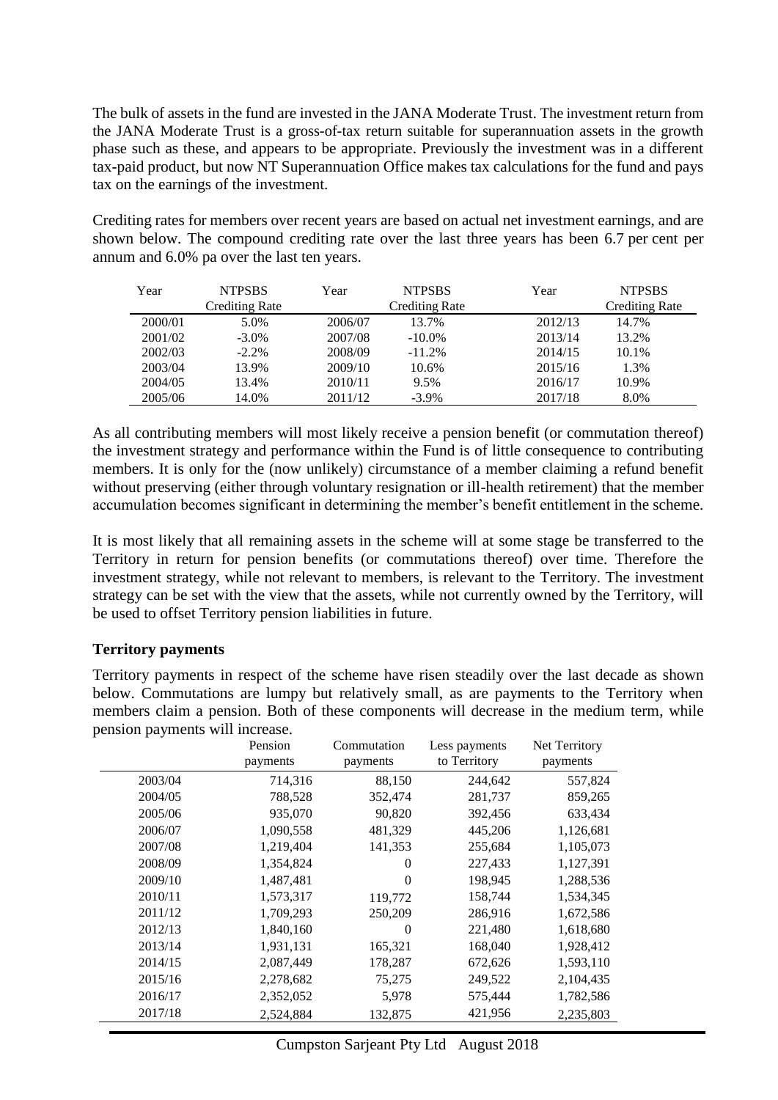The bulk of assets in the fund are invested in the JANA Moderate Trust. The investment return from the JANA Moderate Trust is a gross-of-tax return suitable for superannuation assets in the growth phase such as these, and appears to be appropriate. Previously the investment was in a different tax-paid product, but now NT Superannuation Office makes tax calculations for the fund and pays tax on the earnings of the investment.

Crediting rates for members over recent years are based on actual net investment earnings, and are shown below. The compound crediting rate over the last three years has been 6.7 per cent per annum and 6.0% pa over the last ten years.

| Year    | <b>NTPSBS</b>  | Year    | <b>NTPSBS</b>  | Year    | <b>NTPSBS</b>         |
|---------|----------------|---------|----------------|---------|-----------------------|
|         | Crediting Rate |         | Crediting Rate |         | <b>Crediting Rate</b> |
| 2000/01 | 5.0%           | 2006/07 | 13.7%          | 2012/13 | 14.7%                 |
| 2001/02 | $-3.0\%$       | 2007/08 | $-10.0\%$      | 2013/14 | 13.2%                 |
| 2002/03 | $-2.2\%$       | 2008/09 | $-11.2%$       | 2014/15 | 10.1%                 |
| 2003/04 | 13.9%          | 2009/10 | 10.6%          | 2015/16 | 1.3%                  |
| 2004/05 | 13.4%          | 2010/11 | 9.5%           | 2016/17 | 10.9%                 |
| 2005/06 | 14.0%          | 2011/12 | $-3.9\%$       | 2017/18 | 8.0%                  |

As all contributing members will most likely receive a pension benefit (or commutation thereof) the investment strategy and performance within the Fund is of little consequence to contributing members. It is only for the (now unlikely) circumstance of a member claiming a refund benefit without preserving (either through voluntary resignation or ill-health retirement) that the member accumulation becomes significant in determining the member's benefit entitlement in the scheme.

It is most likely that all remaining assets in the scheme will at some stage be transferred to the Territory in return for pension benefits (or commutations thereof) over time. Therefore the investment strategy, while not relevant to members, is relevant to the Territory. The investment strategy can be set with the view that the assets, while not currently owned by the Territory, will be used to offset Territory pension liabilities in future.

#### **Territory payments**

Territory payments in respect of the scheme have risen steadily over the last decade as shown below. Commutations are lumpy but relatively small, as are payments to the Territory when members claim a pension. Both of these components will decrease in the medium term, while pension payments will increase.

|         | Pension<br>payments | Commutation<br>payments | Less payments<br>to Territory | Net Territory<br>payments |
|---------|---------------------|-------------------------|-------------------------------|---------------------------|
| 2003/04 | 714,316             | 88,150                  | 244,642                       | 557,824                   |
| 2004/05 | 788,528             | 352,474                 | 281,737                       | 859,265                   |
| 2005/06 | 935,070             | 90,820                  | 392,456                       | 633,434                   |
| 2006/07 | 1,090,558           | 481,329                 | 445,206                       | 1,126,681                 |
| 2007/08 | 1,219,404           | 141,353                 | 255,684                       | 1,105,073                 |
| 2008/09 | 1,354,824           | $\theta$                | 227,433                       | 1,127,391                 |
| 2009/10 | 1,487,481           | $\theta$                | 198,945                       | 1,288,536                 |
| 2010/11 | 1,573,317           | 119,772                 | 158,744                       | 1,534,345                 |
| 2011/12 | 1,709,293           | 250,209                 | 286,916                       | 1,672,586                 |
| 2012/13 | 1,840,160           | $\Omega$                | 221,480                       | 1,618,680                 |
| 2013/14 | 1,931,131           | 165,321                 | 168,040                       | 1,928,412                 |
| 2014/15 | 2,087,449           | 178,287                 | 672,626                       | 1,593,110                 |
| 2015/16 | 2,278,682           | 75,275                  | 249,522                       | 2,104,435                 |
| 2016/17 | 2,352,052           | 5,978                   | 575,444                       | 1,782,586                 |
| 2017/18 | 2,524,884           | 132,875                 | 421,956                       | 2,235,803                 |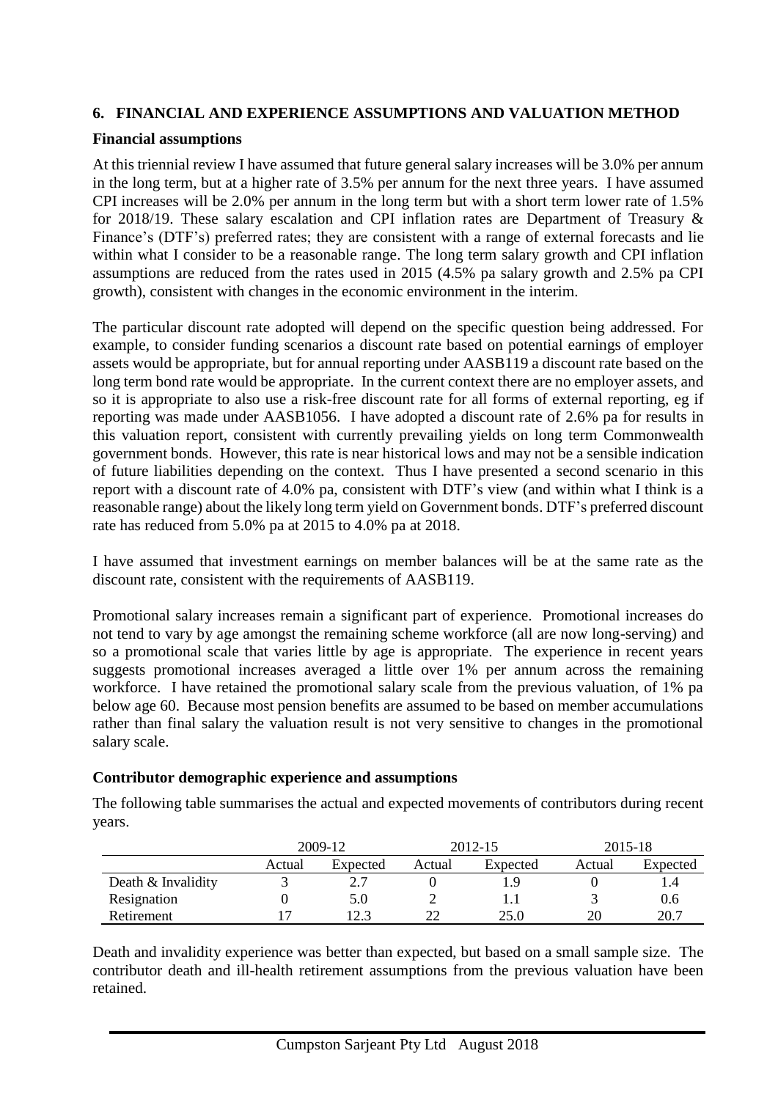# **6. FINANCIAL AND EXPERIENCE ASSUMPTIONS AND VALUATION METHOD**

#### **Financial assumptions**

At this triennial review I have assumed that future general salary increases will be 3.0% per annum in the long term, but at a higher rate of 3.5% per annum for the next three years. I have assumed CPI increases will be 2.0% per annum in the long term but with a short term lower rate of 1.5% for 2018/19. These salary escalation and CPI inflation rates are Department of Treasury & Finance's (DTF's) preferred rates; they are consistent with a range of external forecasts and lie within what I consider to be a reasonable range. The long term salary growth and CPI inflation assumptions are reduced from the rates used in 2015 (4.5% pa salary growth and 2.5% pa CPI growth), consistent with changes in the economic environment in the interim.

The particular discount rate adopted will depend on the specific question being addressed. For example, to consider funding scenarios a discount rate based on potential earnings of employer assets would be appropriate, but for annual reporting under AASB119 a discount rate based on the long term bond rate would be appropriate. In the current context there are no employer assets, and so it is appropriate to also use a risk-free discount rate for all forms of external reporting, eg if reporting was made under AASB1056. I have adopted a discount rate of 2.6% pa for results in this valuation report, consistent with currently prevailing yields on long term Commonwealth government bonds. However, this rate is near historical lows and may not be a sensible indication of future liabilities depending on the context. Thus I have presented a second scenario in this report with a discount rate of 4.0% pa, consistent with DTF's view (and within what I think is a reasonable range) about the likely long term yield on Government bonds. DTF's preferred discount rate has reduced from 5.0% pa at 2015 to 4.0% pa at 2018.

I have assumed that investment earnings on member balances will be at the same rate as the discount rate, consistent with the requirements of AASB119.

Promotional salary increases remain a significant part of experience. Promotional increases do not tend to vary by age amongst the remaining scheme workforce (all are now long-serving) and so a promotional scale that varies little by age is appropriate. The experience in recent years suggests promotional increases averaged a little over 1% per annum across the remaining workforce. I have retained the promotional salary scale from the previous valuation, of 1% pa below age 60. Because most pension benefits are assumed to be based on member accumulations rather than final salary the valuation result is not very sensitive to changes in the promotional salary scale.

#### **Contributor demographic experience and assumptions**

|                    | 2009-12 |          | $2012 - 15$ |          | 2015-18 |          |
|--------------------|---------|----------|-------------|----------|---------|----------|
|                    | Actual  | Expected | Actual      | Expected | Actual  | Expected |
| Death & Invalidity |         | 2.7      |             |          |         | 1.4      |
| Resignation        |         | 5.0      |             |          |         | 0.6      |
| Retirement         |         | 12.3     |             | 25.0     | 20      | 20.7     |

The following table summarises the actual and expected movements of contributors during recent years.

Death and invalidity experience was better than expected, but based on a small sample size. The contributor death and ill-health retirement assumptions from the previous valuation have been retained.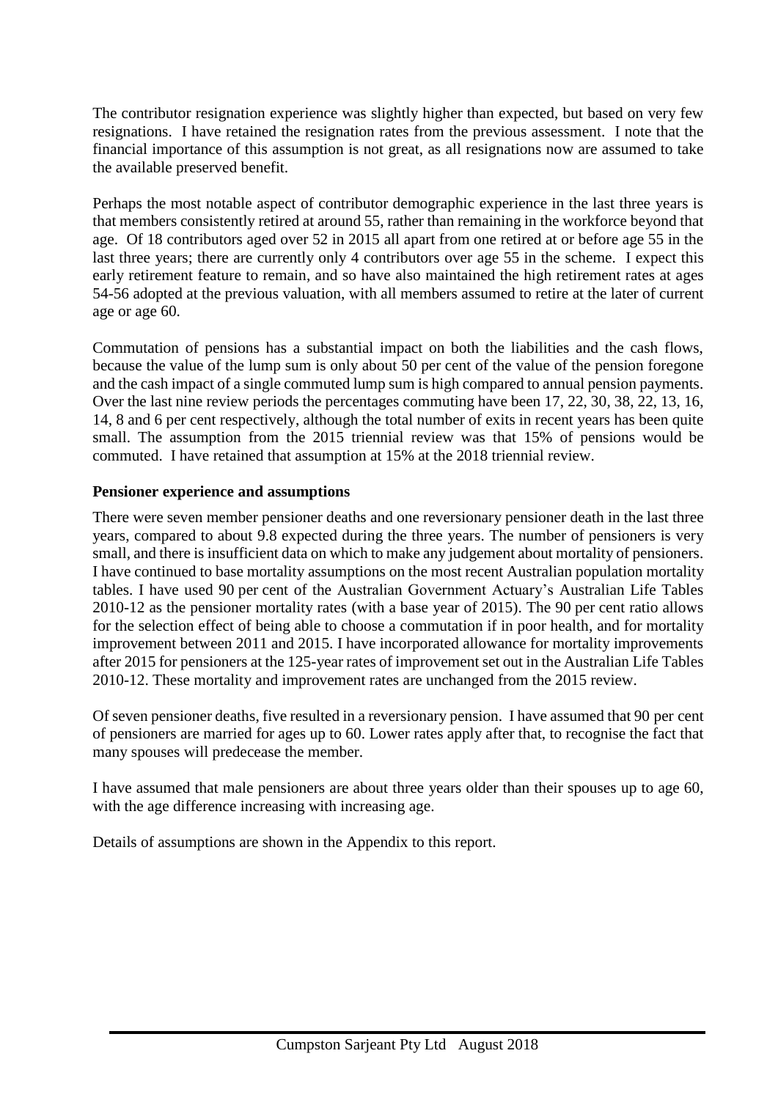The contributor resignation experience was slightly higher than expected, but based on very few resignations. I have retained the resignation rates from the previous assessment. I note that the financial importance of this assumption is not great, as all resignations now are assumed to take the available preserved benefit.

Perhaps the most notable aspect of contributor demographic experience in the last three years is that members consistently retired at around 55, rather than remaining in the workforce beyond that age. Of 18 contributors aged over 52 in 2015 all apart from one retired at or before age 55 in the last three years; there are currently only 4 contributors over age 55 in the scheme. I expect this early retirement feature to remain, and so have also maintained the high retirement rates at ages 54-56 adopted at the previous valuation, with all members assumed to retire at the later of current age or age 60.

Commutation of pensions has a substantial impact on both the liabilities and the cash flows, because the value of the lump sum is only about 50 per cent of the value of the pension foregone and the cash impact of a single commuted lump sum is high compared to annual pension payments. Over the last nine review periods the percentages commuting have been 17, 22, 30, 38, 22, 13, 16, 14, 8 and 6 per cent respectively, although the total number of exits in recent years has been quite small. The assumption from the 2015 triennial review was that 15% of pensions would be commuted. I have retained that assumption at 15% at the 2018 triennial review.

#### **Pensioner experience and assumptions**

There were seven member pensioner deaths and one reversionary pensioner death in the last three years, compared to about 9.8 expected during the three years. The number of pensioners is very small, and there is insufficient data on which to make any judgement about mortality of pensioners. I have continued to base mortality assumptions on the most recent Australian population mortality tables. I have used 90 per cent of the Australian Government Actuary's Australian Life Tables 2010-12 as the pensioner mortality rates (with a base year of 2015). The 90 per cent ratio allows for the selection effect of being able to choose a commutation if in poor health, and for mortality improvement between 2011 and 2015. I have incorporated allowance for mortality improvements after 2015 for pensioners at the 125-year rates of improvement set out in the Australian Life Tables 2010-12. These mortality and improvement rates are unchanged from the 2015 review.

Of seven pensioner deaths, five resulted in a reversionary pension. I have assumed that 90 per cent of pensioners are married for ages up to 60. Lower rates apply after that, to recognise the fact that many spouses will predecease the member.

I have assumed that male pensioners are about three years older than their spouses up to age 60, with the age difference increasing with increasing age.

Details of assumptions are shown in the Appendix to this report.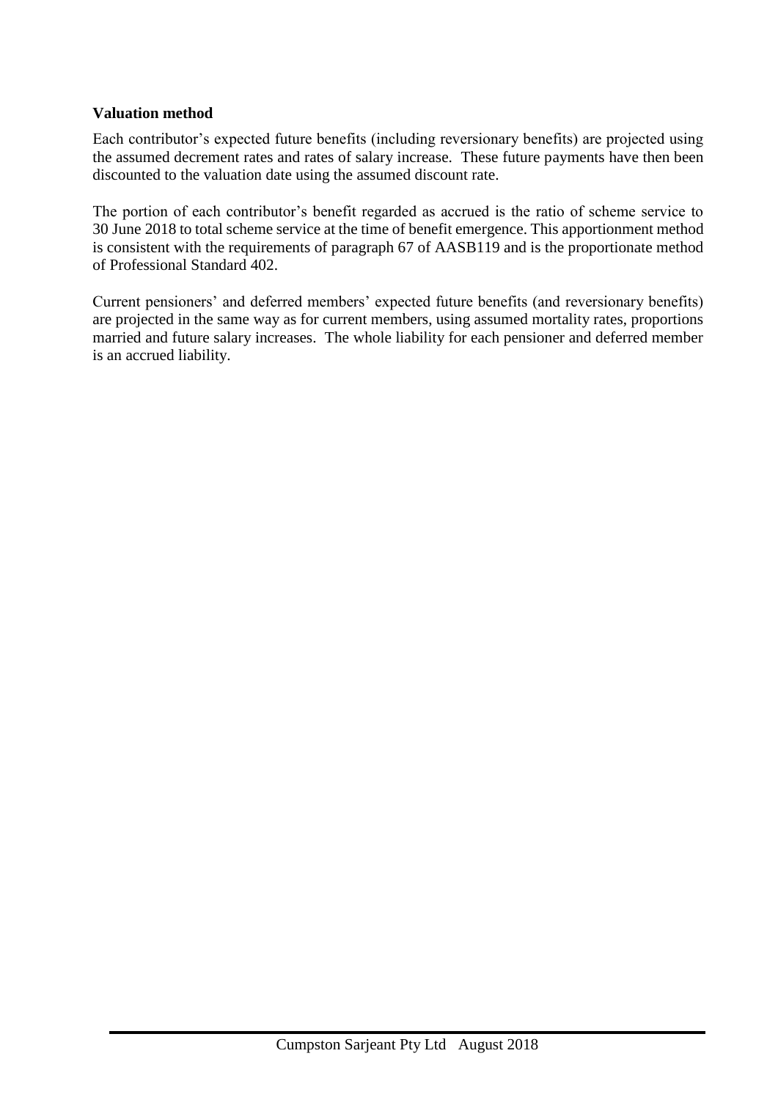# **Valuation method**

Each contributor's expected future benefits (including reversionary benefits) are projected using the assumed decrement rates and rates of salary increase. These future payments have then been discounted to the valuation date using the assumed discount rate.

The portion of each contributor's benefit regarded as accrued is the ratio of scheme service to 30 June 2018 to total scheme service at the time of benefit emergence. This apportionment method is consistent with the requirements of paragraph 67 of AASB119 and is the proportionate method of Professional Standard 402.

Current pensioners' and deferred members' expected future benefits (and reversionary benefits) are projected in the same way as for current members, using assumed mortality rates, proportions married and future salary increases. The whole liability for each pensioner and deferred member is an accrued liability.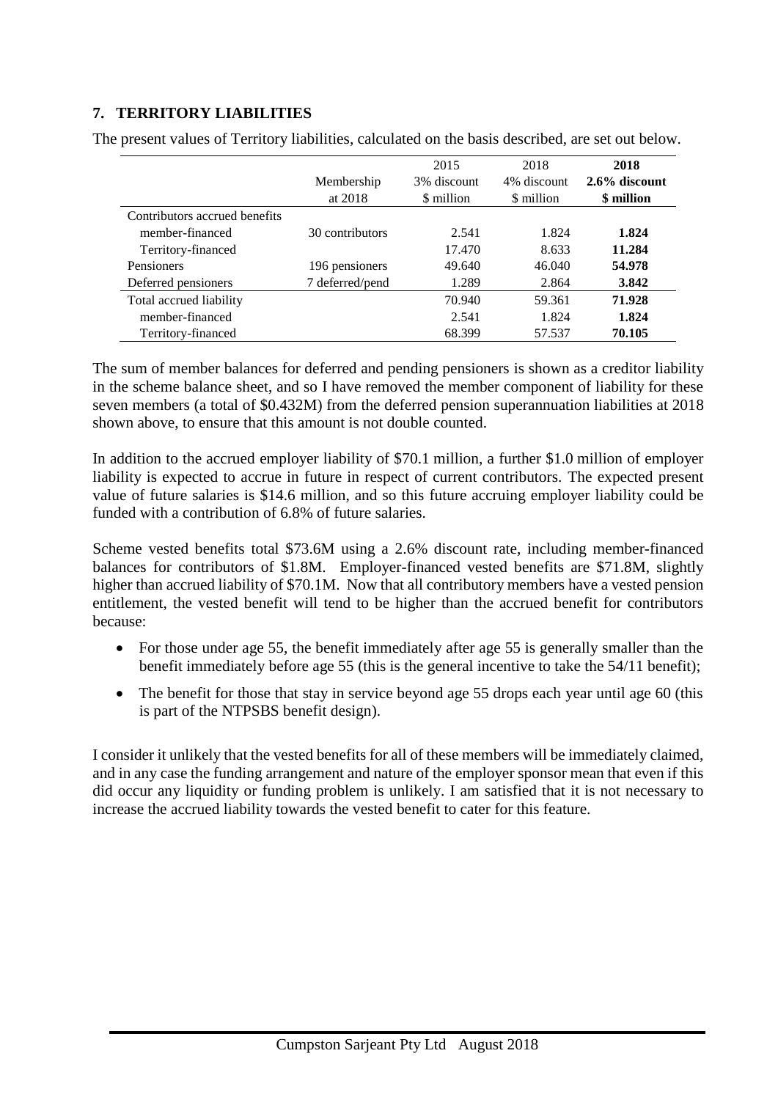# **7. TERRITORY LIABILITIES**

|                               |                 | 2015        | 2018        | 2018          |
|-------------------------------|-----------------|-------------|-------------|---------------|
|                               | Membership      | 3% discount | 4% discount | 2.6% discount |
|                               | at 2018         | \$ million  | \$ million  | \$ million    |
| Contributors accrued benefits |                 |             |             |               |
| member-financed               | 30 contributors | 2.541       | 1.824       | 1.824         |
| Territory-financed            |                 | 17.470      | 8.633       | 11.284        |
| <b>Pensioners</b>             | 196 pensioners  | 49.640      | 46.040      | 54.978        |
| Deferred pensioners           | 7 deferred/pend | 1.289       | 2.864       | 3.842         |
| Total accrued liability       |                 | 70.940      | 59.361      | 71.928        |
| member-financed               |                 | 2.541       | 1.824       | 1.824         |
| Territory-financed            |                 | 68.399      | 57.537      | 70.105        |

The present values of Territory liabilities, calculated on the basis described, are set out below.

The sum of member balances for deferred and pending pensioners is shown as a creditor liability in the scheme balance sheet, and so I have removed the member component of liability for these seven members (a total of \$0.432M) from the deferred pension superannuation liabilities at 2018 shown above, to ensure that this amount is not double counted.

In addition to the accrued employer liability of \$70.1 million, a further \$1.0 million of employer liability is expected to accrue in future in respect of current contributors. The expected present value of future salaries is \$14.6 million, and so this future accruing employer liability could be funded with a contribution of 6.8% of future salaries.

Scheme vested benefits total \$73.6M using a 2.6% discount rate, including member-financed balances for contributors of \$1.8M. Employer-financed vested benefits are \$71.8M, slightly higher than accrued liability of \$70.1M. Now that all contributory members have a vested pension entitlement, the vested benefit will tend to be higher than the accrued benefit for contributors because:

- For those under age 55, the benefit immediately after age 55 is generally smaller than the benefit immediately before age 55 (this is the general incentive to take the 54/11 benefit);
- The benefit for those that stay in service beyond age 55 drops each year until age 60 (this is part of the NTPSBS benefit design).

I consider it unlikely that the vested benefits for all of these members will be immediately claimed, and in any case the funding arrangement and nature of the employer sponsor mean that even if this did occur any liquidity or funding problem is unlikely. I am satisfied that it is not necessary to increase the accrued liability towards the vested benefit to cater for this feature.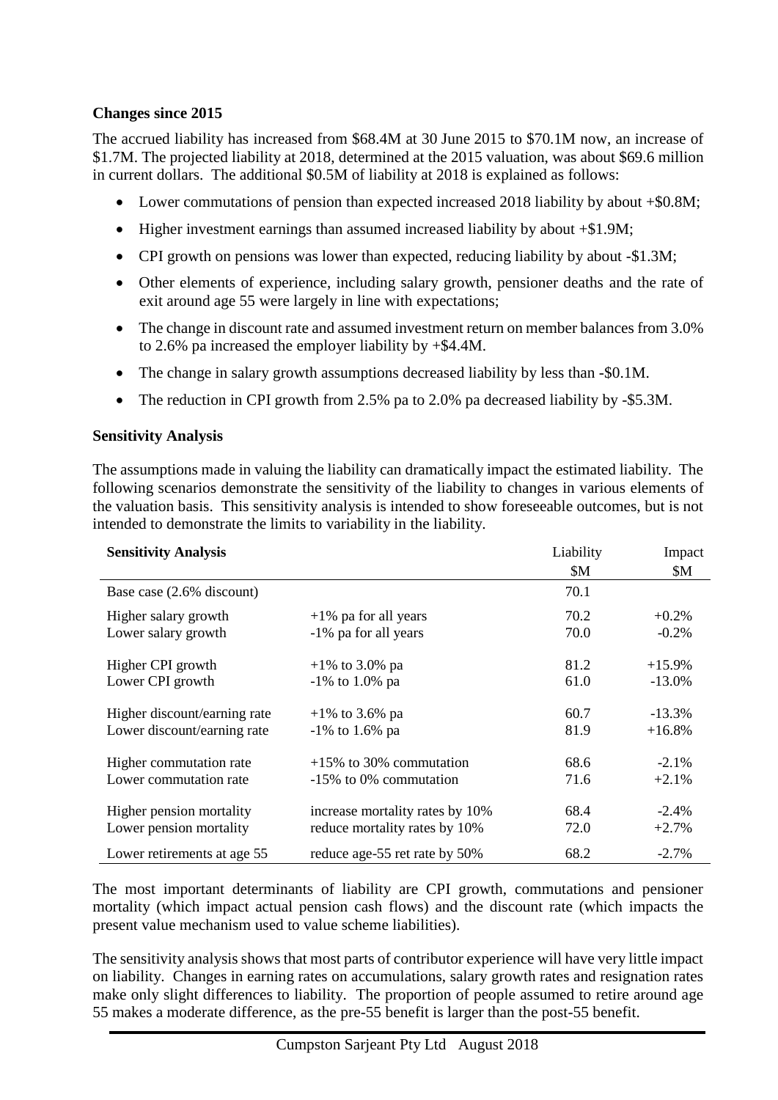# **Changes since 2015**

The accrued liability has increased from \$68.4M at 30 June 2015 to \$70.1M now, an increase of \$1.7M. The projected liability at 2018, determined at the 2015 valuation, was about \$69.6 million in current dollars. The additional \$0.5M of liability at 2018 is explained as follows:

- Lower commutations of pension than expected increased 2018 liability by about  $+$ \$0.8M;
- Higher investment earnings than assumed increased liability by about +\$1.9M;
- CPI growth on pensions was lower than expected, reducing liability by about -\$1.3M;
- Other elements of experience, including salary growth, pensioner deaths and the rate of exit around age 55 were largely in line with expectations;
- The change in discount rate and assumed investment return on member balances from 3.0% to 2.6% pa increased the employer liability by +\$4.4M.
- The change in salary growth assumptions decreased liability by less than -\$0.1M.
- The reduction in CPI growth from 2.5% pa to 2.0% pa decreased liability by -\$5.3M.

# **Sensitivity Analysis**

The assumptions made in valuing the liability can dramatically impact the estimated liability. The following scenarios demonstrate the sensitivity of the liability to changes in various elements of the valuation basis. This sensitivity analysis is intended to show foreseeable outcomes, but is not intended to demonstrate the limits to variability in the liability.

| <b>Sensitivity Analysis</b>  |                                 | Liability | Impact   |
|------------------------------|---------------------------------|-----------|----------|
|                              |                                 | \$M       | \$M      |
| Base case (2.6% discount)    |                                 | 70.1      |          |
| Higher salary growth         | $+1\%$ pa for all years         | 70.2      | $+0.2\%$ |
| Lower salary growth          | -1% pa for all years            | 70.0      | $-0.2\%$ |
| Higher CPI growth            | $+1\%$ to 3.0% pa               | 81.2      | $+15.9%$ |
| Lower CPI growth             | $-1\%$ to 1.0% pa               | 61.0      | $-13.0%$ |
| Higher discount/earning rate | $+1\%$ to 3.6% pa               | 60.7      | $-13.3%$ |
| Lower discount/earning rate  | $-1\%$ to 1.6% pa               | 81.9      | $+16.8%$ |
| Higher commutation rate      | $+15\%$ to 30% commutation      | 68.6      | $-2.1\%$ |
| Lower commutation rate       | -15% to 0% commutation          | 71.6      | $+2.1%$  |
| Higher pension mortality     | increase mortality rates by 10% | 68.4      | $-2.4\%$ |
| Lower pension mortality      | reduce mortality rates by 10%   | 72.0      | $+2.7%$  |
| Lower retirements at age 55  | reduce age-55 ret rate by 50%   | 68.2      | $-2.7\%$ |

The most important determinants of liability are CPI growth, commutations and pensioner mortality (which impact actual pension cash flows) and the discount rate (which impacts the present value mechanism used to value scheme liabilities).

The sensitivity analysis shows that most parts of contributor experience will have very little impact on liability. Changes in earning rates on accumulations, salary growth rates and resignation rates make only slight differences to liability. The proportion of people assumed to retire around age 55 makes a moderate difference, as the pre-55 benefit is larger than the post-55 benefit.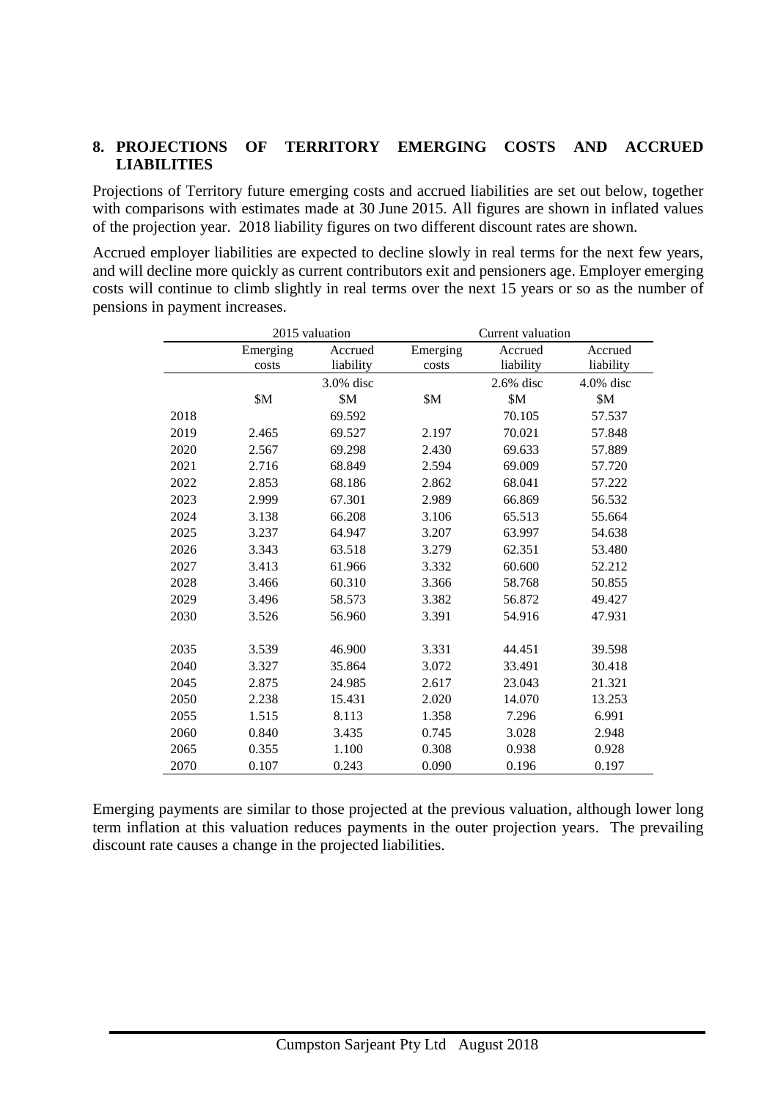# **8. PROJECTIONS OF TERRITORY EMERGING COSTS AND ACCRUED LIABILITIES**

Projections of Territory future emerging costs and accrued liabilities are set out below, together with comparisons with estimates made at 30 June 2015. All figures are shown in inflated values of the projection year. 2018 liability figures on two different discount rates are shown.

Accrued employer liabilities are expected to decline slowly in real terms for the next few years, and will decline more quickly as current contributors exit and pensioners age. Employer emerging costs will continue to climb slightly in real terms over the next 15 years or so as the number of pensions in payment increases.

|      | 2015 valuation |           |          | Current valuation |           |  |
|------|----------------|-----------|----------|-------------------|-----------|--|
|      | Emerging       | Accrued   | Emerging | Accrued           | Accrued   |  |
|      | costs          | liability | costs    | liability         | liability |  |
|      |                | 3.0% disc |          | $2.6\%$ disc      | 4.0% disc |  |
|      | \$M            | \$M       | \$M      | \$M               | \$M       |  |
| 2018 |                | 69.592    |          | 70.105            | 57.537    |  |
| 2019 | 2.465          | 69.527    | 2.197    | 70.021            | 57.848    |  |
| 2020 | 2.567          | 69.298    | 2.430    | 69.633            | 57.889    |  |
| 2021 | 2.716          | 68.849    | 2.594    | 69.009            | 57.720    |  |
| 2022 | 2.853          | 68.186    | 2.862    | 68.041            | 57.222    |  |
| 2023 | 2.999          | 67.301    | 2.989    | 66.869            | 56.532    |  |
| 2024 | 3.138          | 66.208    | 3.106    | 65.513            | 55.664    |  |
| 2025 | 3.237          | 64.947    | 3.207    | 63.997            | 54.638    |  |
| 2026 | 3.343          | 63.518    | 3.279    | 62.351            | 53.480    |  |
| 2027 | 3.413          | 61.966    | 3.332    | 60.600            | 52.212    |  |
| 2028 | 3.466          | 60.310    | 3.366    | 58.768            | 50.855    |  |
| 2029 | 3.496          | 58.573    | 3.382    | 56.872            | 49.427    |  |
| 2030 | 3.526          | 56.960    | 3.391    | 54.916            | 47.931    |  |
|      |                |           |          |                   |           |  |
| 2035 | 3.539          | 46.900    | 3.331    | 44.451            | 39.598    |  |
| 2040 | 3.327          | 35.864    | 3.072    | 33.491            | 30.418    |  |
| 2045 | 2.875          | 24.985    | 2.617    | 23.043            | 21.321    |  |
| 2050 | 2.238          | 15.431    | 2.020    | 14.070            | 13.253    |  |
| 2055 | 1.515          | 8.113     | 1.358    | 7.296             | 6.991     |  |
| 2060 | 0.840          | 3.435     | 0.745    | 3.028             | 2.948     |  |
| 2065 | 0.355          | 1.100     | 0.308    | 0.938             | 0.928     |  |
| 2070 | 0.107          | 0.243     | 0.090    | 0.196             | 0.197     |  |

Emerging payments are similar to those projected at the previous valuation, although lower long term inflation at this valuation reduces payments in the outer projection years. The prevailing discount rate causes a change in the projected liabilities.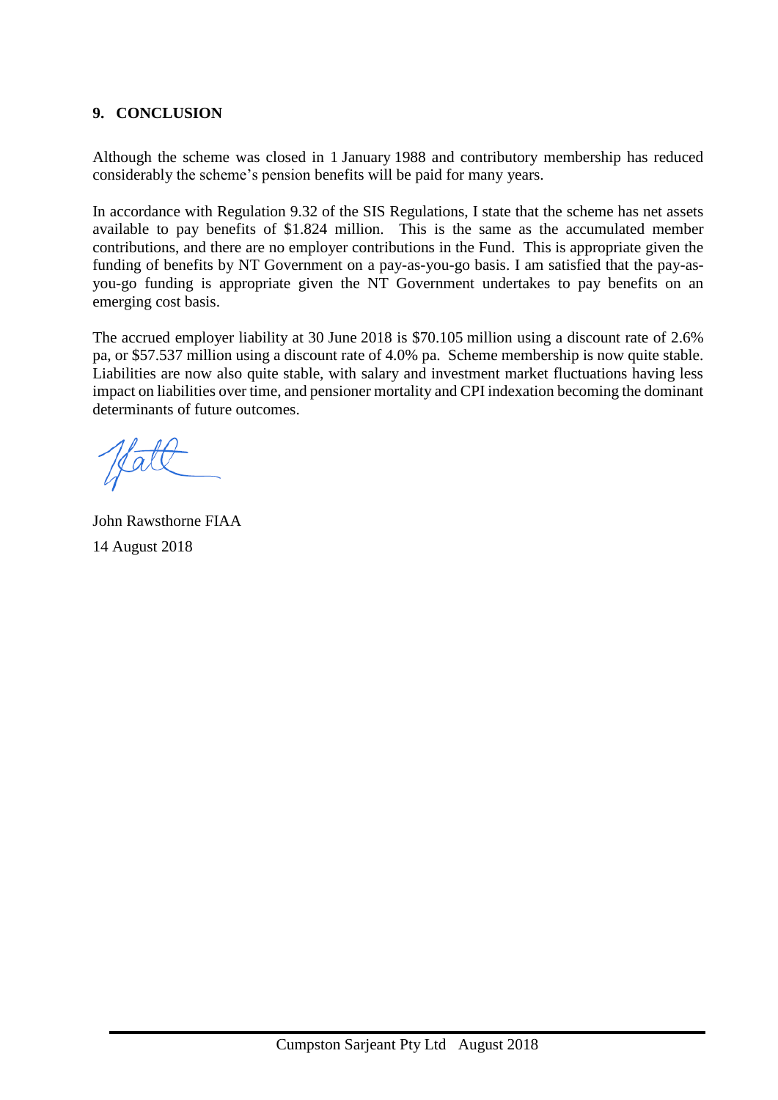# **9. CONCLUSION**

Although the scheme was closed in 1 January 1988 and contributory membership has reduced considerably the scheme's pension benefits will be paid for many years.

In accordance with Regulation 9.32 of the SIS Regulations, I state that the scheme has net assets available to pay benefits of \$1.824 million. This is the same as the accumulated member contributions, and there are no employer contributions in the Fund. This is appropriate given the funding of benefits by NT Government on a pay-as-you-go basis. I am satisfied that the pay-asyou-go funding is appropriate given the NT Government undertakes to pay benefits on an emerging cost basis.

The accrued employer liability at 30 June 2018 is \$70.105 million using a discount rate of 2.6% pa, or \$57.537 million using a discount rate of 4.0% pa. Scheme membership is now quite stable. Liabilities are now also quite stable, with salary and investment market fluctuations having less impact on liabilities over time, and pensioner mortality and CPI indexation becoming the dominant determinants of future outcomes.

John Rawsthorne FIAA 14 August 2018